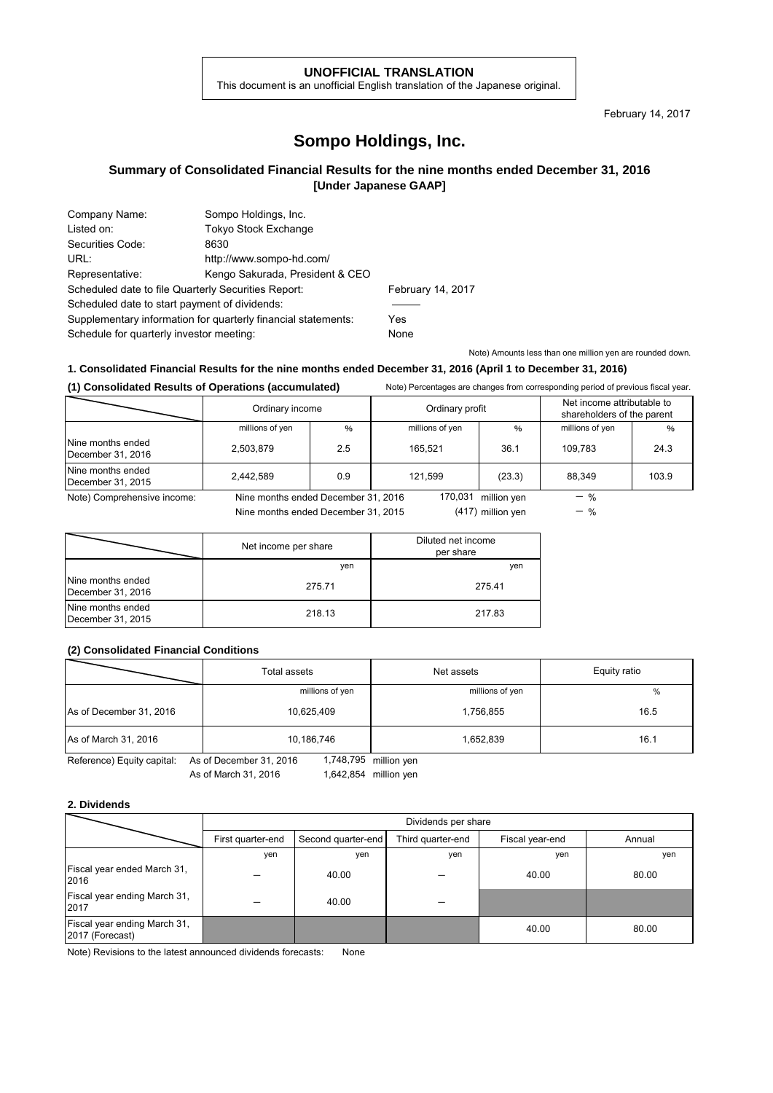#### **UNOFFICIAL TRANSLATION**

This document is an unofficial English translation of the Japanese original.

February 14, 2017

# **Sompo Holdings, Inc.**

## **Summary of Consolidated Financial Results for the nine months ended December 31, 2016 [Under Japanese GAAP]**

| Sompo Holdings, Inc.                                          |                   |
|---------------------------------------------------------------|-------------------|
| <b>Tokyo Stock Exchange</b>                                   |                   |
| 8630                                                          |                   |
| http://www.sompo-hd.com/                                      |                   |
| Kengo Sakurada, President & CEO                               |                   |
| Scheduled date to file Quarterly Securities Report:           | February 14, 2017 |
| Scheduled date to start payment of dividends:                 |                   |
| Supplementary information for quarterly financial statements: | Yes               |
| Schedule for quarterly investor meeting:                      | None              |
|                                                               |                   |

Note) Amounts less than one million yen are rounded down.

### **1. Consolidated Financial Results for the nine months ended December 31, 2016 (April 1 to December 31, 2016)**

**(1) Consolidated Results of Operations (accumulated)** Note) Percentages are changes from corresponding period of previous fiscal year.

|                                        | Ordinary income                     |     | Ordinary profit |                   | Net income attributable to<br>shareholders of the parent |       |
|----------------------------------------|-------------------------------------|-----|-----------------|-------------------|----------------------------------------------------------|-------|
|                                        | millions of yen                     | %   | millions of yen | $\%$              | millions of yen                                          | %     |
| Nine months ended<br>December 31, 2016 | 2,503,879                           | 2.5 | 165.521         | 36.1              | 109.783                                                  | 24.3  |
| Nine months ended<br>December 31, 2015 | 2.442.589                           | 0.9 | 121.599         | (23.3)            | 88.349                                                   | 103.9 |
| Note) Comprehensive income:            | Nine months ended December 31, 2016 |     | 170.031         | million ven       | $-$ %                                                    |       |
|                                        | Nine months ended December 31, 2015 |     |                 | (417) million ven | $-$ %                                                    |       |

Nine months ended December 31, 2015

(417) million yen

|                                        | Net income per share | Diluted net income<br>per share |
|----------------------------------------|----------------------|---------------------------------|
|                                        | ven                  | yen                             |
| Nine months ended<br>December 31, 2016 | 275.71               | 275.41                          |
| Nine months ended<br>December 31, 2015 | 218.13               | 217.83                          |

## **(2) Consolidated Financial Conditions**

|                         | Total assets    | Net assets      | Equity ratio |
|-------------------------|-----------------|-----------------|--------------|
|                         | millions of yen | millions of yen | %            |
| As of December 31, 2016 | 10,625,409      | 1,756,855       | 16.5         |
| As of March 31, 2016    | 10,186,746      | 1,652,839       | 16.1         |

Reference) Equity capital: As of December 31, 2016 1,748,795 million yen As of March 31, 2016

1,642,854

### **2. Dividends**

|                                                 | Dividends per share |                    |                   |                 |        |
|-------------------------------------------------|---------------------|--------------------|-------------------|-----------------|--------|
|                                                 | First quarter-end   | Second quarter-end | Third quarter-end | Fiscal year-end | Annual |
|                                                 | yen                 | ven                | yen               | yen             | yen    |
| Fiscal year ended March 31,<br>2016             |                     | 40.00              |                   | 40.00           | 80.00  |
| Fiscal year ending March 31,<br>2017            |                     | 40.00              |                   |                 |        |
| Fiscal year ending March 31,<br>2017 (Forecast) |                     |                    |                   | 40.00           | 80.00  |

Note) Revisions to the latest announced dividends forecasts: None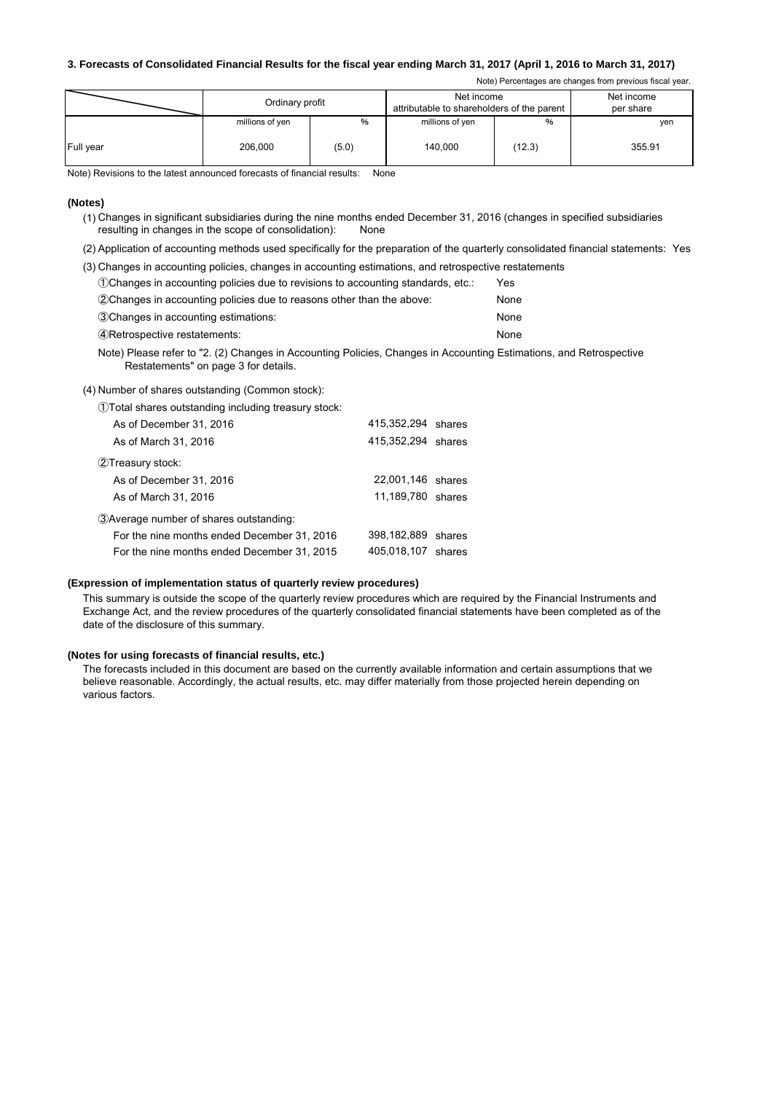### **3. Forecasts of Consolidated Financial Results for the fiscal year ending March 31, 2017 (April 1, 2016 to March 31, 2017)**

Note) Percentages are changes from previous fiscal year.

|           | Net income<br>Ordinary profit<br>attributable to shareholders of the parent |       |                 |        |        |  | Net income<br>per share |
|-----------|-----------------------------------------------------------------------------|-------|-----------------|--------|--------|--|-------------------------|
|           | millions of yen                                                             | %     | millions of yen | %      | ven    |  |                         |
| Full year | 206,000                                                                     | (5.0) | 140.000         | (12.3) | 355.91 |  |                         |

Note) Revisions to the latest announced forecasts of financial results: None

#### **(Notes)**

(1) Changes in significant subsidiaries during the nine months ended December 31, 2016 (changes in specified subsidiaries resulting in changes in the scope of consolidation): None

(2) Application of accounting methods used specifically for the preparation of the quarterly consolidated financial statements: Yes

| (3) Changes in accounting policies, changes in accounting estimations, and retrospective restatements |      |  |
|-------------------------------------------------------------------------------------------------------|------|--|
| (1) Changes in accounting policies due to revisions to accounting standards, etc.:                    | Yes  |  |
| (2) Changes in accounting policies due to reasons other than the above:                               | None |  |

| 3 Changes in accounting estimations: | None |
|--------------------------------------|------|
| 4 Retrospective restatements:        | None |

Note) Please refer to "2. (2) Changes in Accounting Policies, Changes in Accounting Estimations, and Retrospective Restatements" on page 3 for details.

(4) Number of shares outstanding (Common stock):

| (1) Total shares outstanding including treasury stock: |                    |        |
|--------------------------------------------------------|--------------------|--------|
| As of December 31, 2016                                | 415,352,294 shares |        |
| As of March 31, 2016                                   | 415,352,294 shares |        |
| 2Treasury stock:                                       |                    |        |
| As of December 31, 2016                                | 22,001,146 shares  |        |
| As of March 31, 2016                                   | 11,189,780 shares  |        |
| 3) Average number of shares outstanding:               |                    |        |
| For the nine months ended December 31, 2016            | 398,182,889        | shares |
| For the nine months ended December 31, 2015            | 405.018.107        | shares |

#### **(Expression of implementation status of quarterly review procedures)**

This summary is outside the scope of the quarterly review procedures which are required by the Financial Instruments and Exchange Act, and the review procedures of the quarterly consolidated financial statements have been completed as of the date of the disclosure of this summary.

#### **(Notes for using forecasts of financial results, etc.)**

The forecasts included in this document are based on the currently available information and certain assumptions that we believe reasonable. Accordingly, the actual results, etc. may differ materially from those projected herein depending on various factors.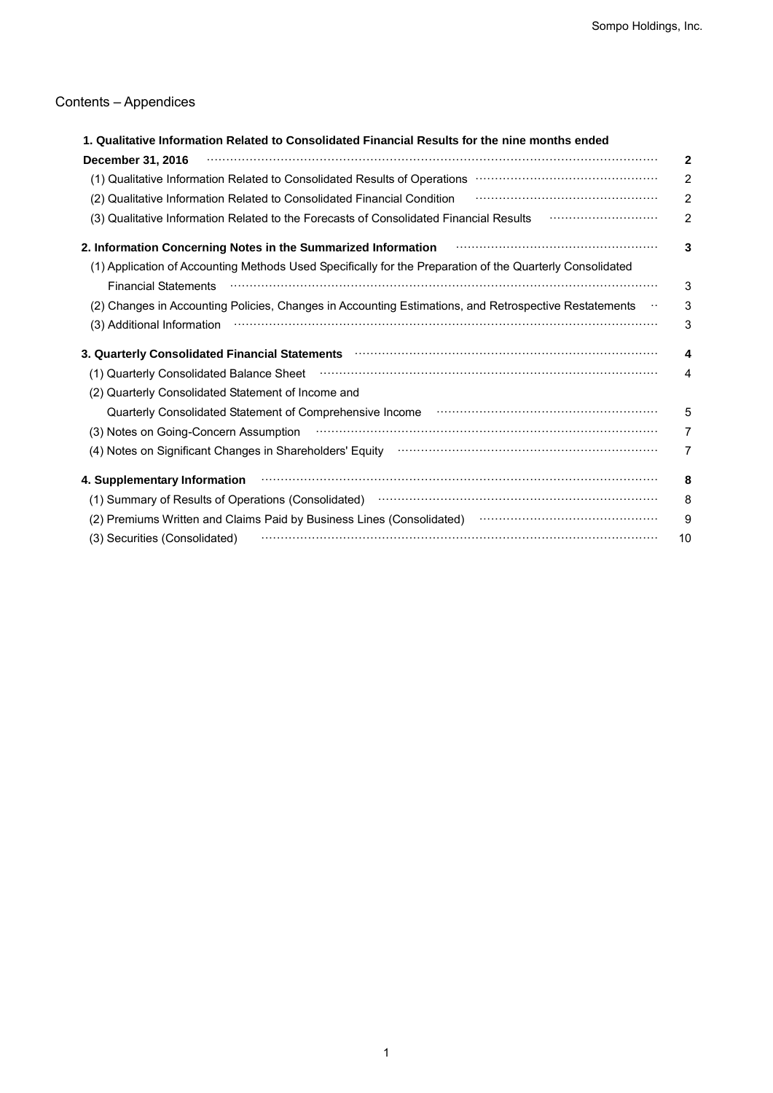# Contents – Appendices

| ntents – Appendices                                                                                                                                                                                                                                                    |  |
|------------------------------------------------------------------------------------------------------------------------------------------------------------------------------------------------------------------------------------------------------------------------|--|
| 1. Qualitative Information Related to Consolidated Financial Results for the nine months ended                                                                                                                                                                         |  |
| December 31, 2016                                                                                                                                                                                                                                                      |  |
| (1) Qualitative Information Related to Consolidated Results of Operations <b>William Constitute Information</b> Related to Consolidated Results of Operations <b>Constitute Information</b><br>(2) Qualitative Information Related to Consolidated Financial Condition |  |
| (3) Qualitative Information Related to the Forecasts of Consolidated Financial Results                                                                                                                                                                                 |  |
| 2. Information Concerning Notes in the Summarized Information                                                                                                                                                                                                          |  |
| (1) Application of Accounting Methods Used Specifically for the Preparation of the Quarterly Consolidated<br><b>Financial Statements</b>                                                                                                                               |  |
| (2) Changes in Accounting Policies, Changes in Accounting Estimations, and Retrospective Restatements<br>(3) Additional Information                                                                                                                                    |  |
| 3. Quarterly Consolidated Financial Statements <b>contract to the Constantine Consolidated</b> Financial Statements                                                                                                                                                    |  |
| (1) Quarterly Consolidated Balance Sheet                                                                                                                                                                                                                               |  |
| (2) Quarterly Consolidated Statement of Income and                                                                                                                                                                                                                     |  |
| Quarterly Consolidated Statement of Comprehensive Income manufactured controller construction of Comprehensive Income                                                                                                                                                  |  |
| (3) Notes on Going-Concern Assumption                                                                                                                                                                                                                                  |  |
|                                                                                                                                                                                                                                                                        |  |
| 4. Supplementary Information                                                                                                                                                                                                                                           |  |
| (1) Summary of Results of Operations (Consolidated) manufactured control of Results of Operations (Consolidated)                                                                                                                                                       |  |
| (2) Premiums Written and Claims Paid by Business Lines (Consolidated) manufactured controller and Claims                                                                                                                                                               |  |
|                                                                                                                                                                                                                                                                        |  |
|                                                                                                                                                                                                                                                                        |  |
|                                                                                                                                                                                                                                                                        |  |
|                                                                                                                                                                                                                                                                        |  |
|                                                                                                                                                                                                                                                                        |  |
|                                                                                                                                                                                                                                                                        |  |
|                                                                                                                                                                                                                                                                        |  |
|                                                                                                                                                                                                                                                                        |  |
|                                                                                                                                                                                                                                                                        |  |
|                                                                                                                                                                                                                                                                        |  |
|                                                                                                                                                                                                                                                                        |  |
|                                                                                                                                                                                                                                                                        |  |
|                                                                                                                                                                                                                                                                        |  |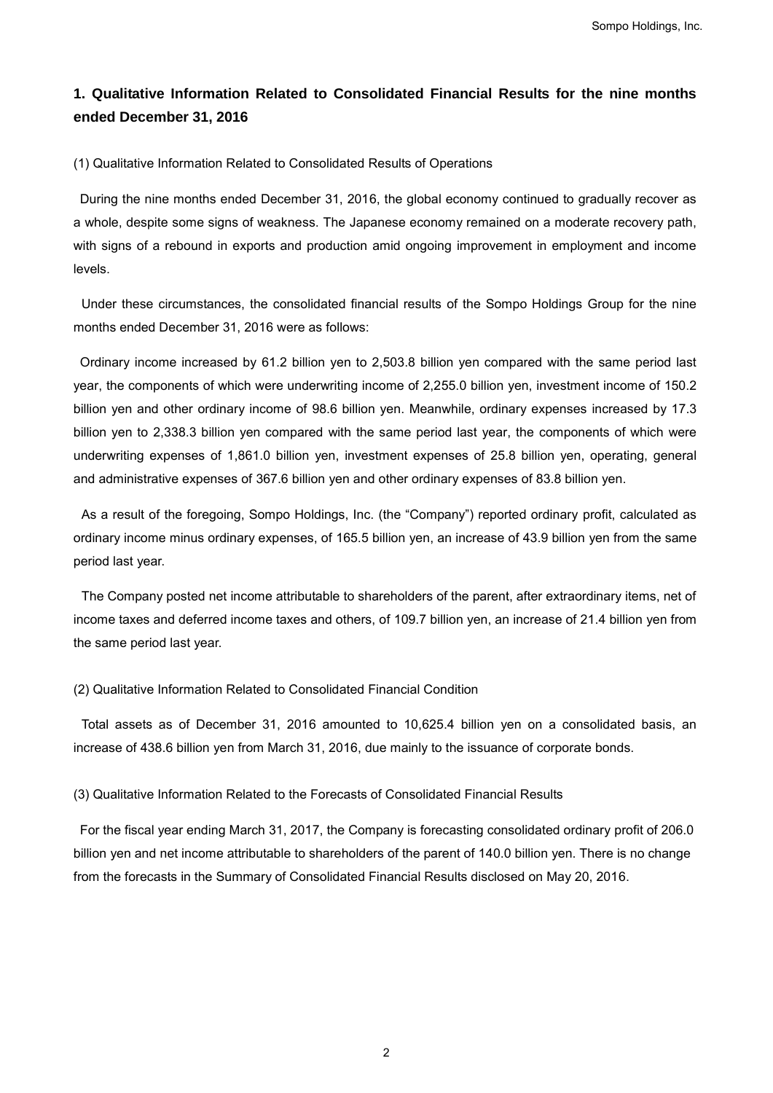# **1. Qualitative Information Related to Consolidated Financial Results for the nine months ended December 31, 2016**

(1) Qualitative Information Related to Consolidated Results of Operations

During the nine months ended December 31, 2016, the global economy continued to gradually recover as a whole, despite some signs of weakness. The Japanese economy remained on a moderate recovery path, with signs of a rebound in exports and production amid ongoing improvement in employment and income levels.

Under these circumstances, the consolidated financial results of the Sompo Holdings Group for the nine months ended December 31, 2016 were as follows:

Ordinary income increased by 61.2 billion yen to 2,503.8 billion yen compared with the same period last year, the components of which were underwriting income of 2,255.0 billion yen, investment income of 150.2 billion yen and other ordinary income of 98.6 billion yen. Meanwhile, ordinary expenses increased by 17.3 billion yen to 2,338.3 billion yen compared with the same period last year, the components of which were underwriting expenses of 1,861.0 billion yen, investment expenses of 25.8 billion yen, operating, general and administrative expenses of 367.6 billion yen and other ordinary expenses of 83.8 billion yen. Sompo Holdings, Inc.<br>
idated Financial Results for the nine months<br>
sults of Operations<br>
the global economy continued to gradually recover as<br>
ese economy remained on a moderate recovery path,<br>
mid ongoing improvement in e

As a result of the foregoing, Sompo Holdings, Inc. (the "Company") reported ordinary profit, calculated as ordinary income minus ordinary expenses, of 165.5 billion yen, an increase of 43.9 billion yen from the same period last year.

The Company posted net income attributable to shareholders of the parent, after extraordinary items, net of income taxes and deferred income taxes and others, of 109.7 billion yen, an increase of 21.4 billion yen from the same period last year.

### (2) Qualitative Information Related to Consolidated Financial Condition

Total assets as of December 31, 2016 amounted to 10,625.4 billion yen on a consolidated basis, an increase of 438.6 billion yen from March 31, 2016, due mainly to the issuance of corporate bonds.

(3) Qualitative Information Related to the Forecasts of Consolidated Financial Results

For the fiscal year ending March 31, 2017, the Company is forecasting consolidated ordinary profit of 206.0 billion yen and net income attributable to shareholders of the parent of 140.0 billion yen. There is no change from the forecasts in the Summary of Consolidated Financial Results disclosed on May 20, 2016.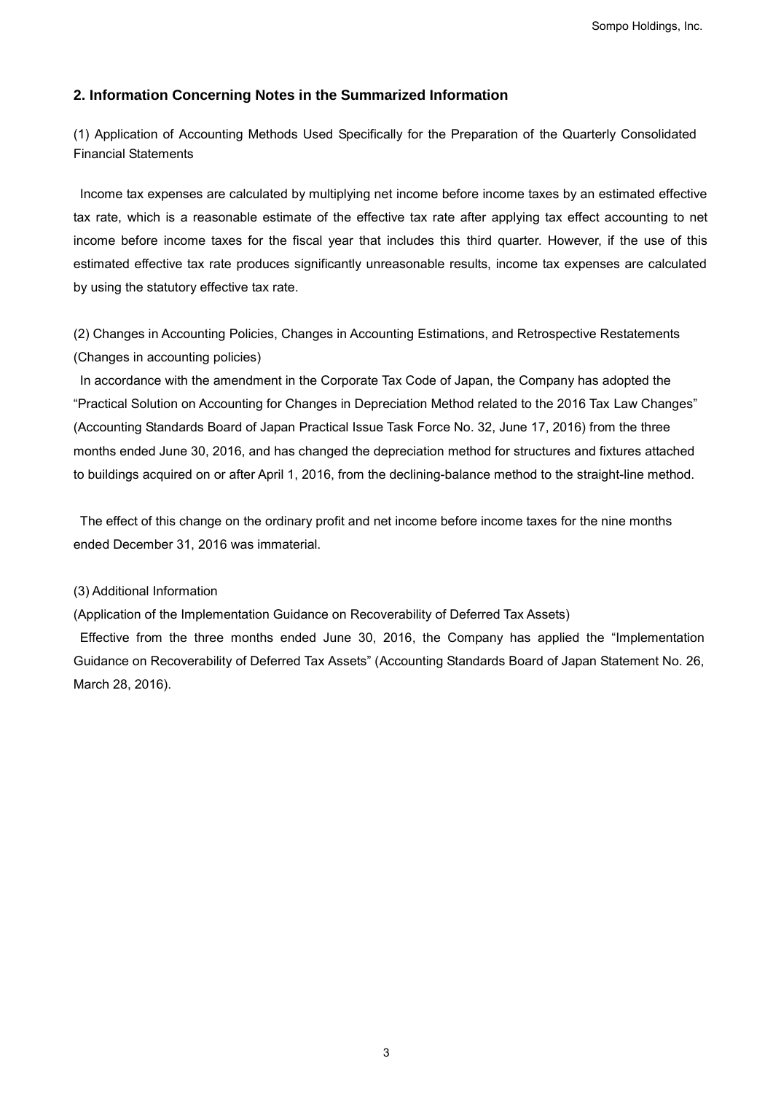## **2. Information Concerning Notes in the Summarized Information**

(1) Application of Accounting Methods Used Specifically for the Preparation of the Quarterly Consolidated Financial Statements

Income tax expenses are calculated by multiplying net income before income taxes by an estimated effective tax rate, which is a reasonable estimate of the effective tax rate after applying tax effect accounting to net income before income taxes for the fiscal year that includes this third quarter. However, if the use of this estimated effective tax rate produces significantly unreasonable results, income tax expenses are calculated by using the statutory effective tax rate. Sompo Holdings, Inc.<br>
antized Information<br>
ally for the Preparation of the Quarterly Consolidated<br>
et income before income laxes by an estimated effective<br>
includes this third quarter. However, if the use of this<br>
includes

(2) Changes in Accounting Policies, Changes in Accounting Estimations, and Retrospective Restatements (Changes in accounting policies)

In accordance with the amendment in the Corporate Tax Code of Japan, the Company has adopted the "Practical Solution on Accounting for Changes in Depreciation Method related to the 2016 Tax Law Changes" (Accounting Standards Board of Japan Practical Issue Task Force No. 32, June 17, 2016) from the three months ended June 30, 2016, and has changed the depreciation method for structures and fixtures attached to buildings acquired on or after April 1, 2016, from the declining-balance method to the straight-line method.

The effect of this change on the ordinary profit and net income before income taxes for the nine months ended December 31, 2016 was immaterial.

### (3) Additional Information

(Application of the Implementation Guidance on Recoverability of Deferred Tax Assets)

Effective from the three months ended June 30, 2016, the Company has applied the "Implementation Guidance on Recoverability of Deferred Tax Assets" (Accounting Standards Board of Japan Statement No. 26, March 28, 2016).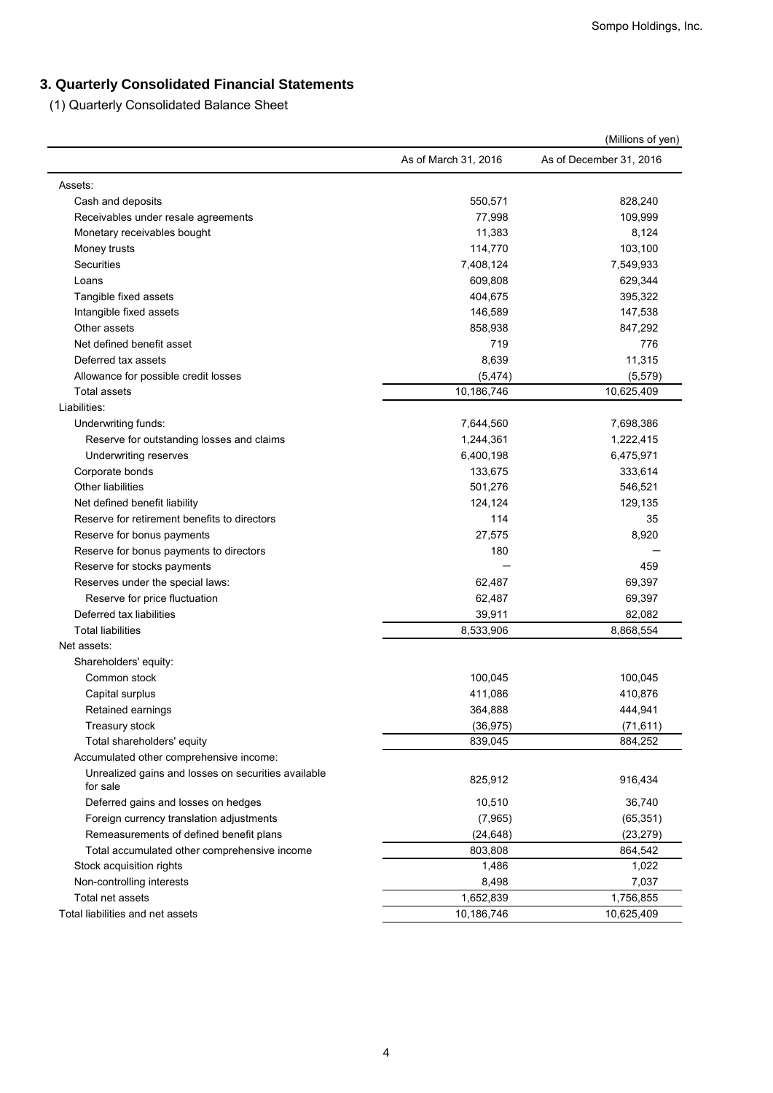# **3. Quarterly Consolidated Financial Statements**

| Assets:<br>Cash and deposits<br>Receivables under resale agreements<br>Monetary receivables bought<br>Money trusts<br>Securities<br>Loans<br>Tangible fixed assets<br>Intangible fixed assets | As of March 31, 2016<br>550,571<br>77,998<br>11,383 | As of December 31, 2016<br>828,240 |
|-----------------------------------------------------------------------------------------------------------------------------------------------------------------------------------------------|-----------------------------------------------------|------------------------------------|
|                                                                                                                                                                                               |                                                     |                                    |
|                                                                                                                                                                                               |                                                     |                                    |
|                                                                                                                                                                                               |                                                     |                                    |
|                                                                                                                                                                                               |                                                     | 109,999                            |
|                                                                                                                                                                                               |                                                     | 8,124                              |
|                                                                                                                                                                                               | 114,770                                             | 103,100                            |
|                                                                                                                                                                                               | 7,408,124                                           | 7,549,933                          |
|                                                                                                                                                                                               | 609,808                                             | 629,344                            |
|                                                                                                                                                                                               | 404,675                                             | 395,322                            |
|                                                                                                                                                                                               | 146,589                                             | 147,538                            |
| Other assets                                                                                                                                                                                  | 858,938                                             | 847,292                            |
| Net defined benefit asset                                                                                                                                                                     | 719                                                 | 776                                |
| Deferred tax assets                                                                                                                                                                           | 8,639                                               | 11,315                             |
| Allowance for possible credit losses                                                                                                                                                          | (5, 474)                                            | (5, 579)                           |
| Total assets                                                                                                                                                                                  | 10,186,746                                          | 10,625,409                         |
| Liabilities:                                                                                                                                                                                  |                                                     |                                    |
| Underwriting funds:                                                                                                                                                                           | 7,644,560                                           | 7,698,386                          |
| Reserve for outstanding losses and claims                                                                                                                                                     | 1,244,361                                           | 1,222,415                          |
| Underwriting reserves                                                                                                                                                                         | 6,400,198                                           | 6,475,971                          |
| Corporate bonds                                                                                                                                                                               | 133,675                                             | 333,614                            |
| <b>Other liabilities</b>                                                                                                                                                                      | 501,276                                             | 546,521                            |
| Net defined benefit liability                                                                                                                                                                 | 124,124                                             | 129,135                            |
| Reserve for retirement benefits to directors                                                                                                                                                  | 114                                                 | 35                                 |
| Reserve for bonus payments                                                                                                                                                                    | 27,575<br>180                                       | 8,920                              |
| Reserve for bonus payments to directors                                                                                                                                                       |                                                     |                                    |
| Reserve for stocks payments<br>Reserves under the special laws:                                                                                                                               | 62,487                                              | 459<br>69,397                      |
| Reserve for price fluctuation                                                                                                                                                                 | 62,487                                              | 69,397                             |
| Deferred tax liabilities                                                                                                                                                                      | 39,911                                              | 82,082                             |
| <b>Total liabilities</b>                                                                                                                                                                      | 8,533,906                                           | 8,868,554                          |
| Net assets:                                                                                                                                                                                   |                                                     |                                    |
| Shareholders' equity:                                                                                                                                                                         |                                                     |                                    |
| Common stock                                                                                                                                                                                  | 100,045                                             | 100,045                            |
| Capital surplus                                                                                                                                                                               | 411,086                                             | 410,876                            |
| Retained earnings                                                                                                                                                                             | 364,888                                             | 444,941                            |
| Treasury stock                                                                                                                                                                                | (36, 975)                                           | (71, 611)                          |
| Total shareholders' equity                                                                                                                                                                    | 839,045                                             | 884,252                            |
| Accumulated other comprehensive income:                                                                                                                                                       |                                                     |                                    |
| Unrealized gains and losses on securities available                                                                                                                                           |                                                     |                                    |
| for sale                                                                                                                                                                                      | 825,912                                             | 916,434                            |
| Deferred gains and losses on hedges                                                                                                                                                           | 10,510                                              | 36,740                             |
| Foreign currency translation adjustments                                                                                                                                                      | (7,965)                                             | (65, 351)                          |
| Remeasurements of defined benefit plans                                                                                                                                                       | (24, 648)                                           | (23, 279)                          |
| Total accumulated other comprehensive income                                                                                                                                                  | 803,808                                             | 864,542                            |
| Stock acquisition rights                                                                                                                                                                      | 1,486                                               | 1,022                              |
| Non-controlling interests                                                                                                                                                                     | 8,498                                               | 7,037                              |
| Total net assets                                                                                                                                                                              | 1,652,839                                           | 1,756,855                          |
| Total liabilities and net assets                                                                                                                                                              | 10,186,746                                          | 10,625,409                         |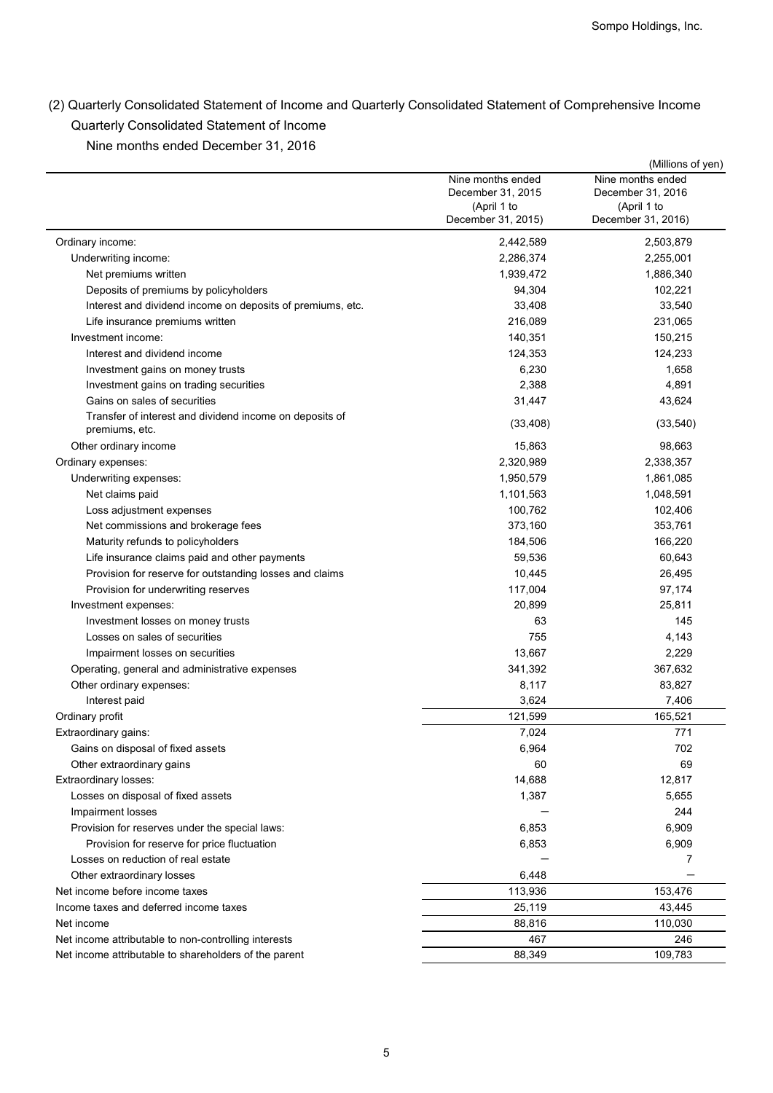| Quarterly Consolidated Statement of Income                                        |                                                        |                                                        |
|-----------------------------------------------------------------------------------|--------------------------------------------------------|--------------------------------------------------------|
| Nine months ended December 31, 2016                                               |                                                        |                                                        |
|                                                                                   | Nine months ended                                      | (Millions of yen)<br>Nine months ended                 |
|                                                                                   | December 31, 2015<br>(April 1 to<br>December 31, 2015) | December 31, 2016<br>(April 1 to<br>December 31, 2016) |
| Ordinary income:                                                                  | 2,442,589                                              | 2,503,879                                              |
| Underwriting income:                                                              | 2,286,374                                              | 2,255,001                                              |
| Net premiums written                                                              | 1,939,472                                              | 1,886,340                                              |
| Deposits of premiums by policyholders                                             | 94,304                                                 | 102,221                                                |
| Interest and dividend income on deposits of premiums, etc.                        | 33,408                                                 | 33,540                                                 |
| Life insurance premiums written                                                   | 216,089                                                | 231,065                                                |
| Investment income:                                                                | 140,351                                                | 150,215                                                |
| Interest and dividend income                                                      | 124,353                                                | 124,233                                                |
| Investment gains on money trusts                                                  | 6,230                                                  | 1,658                                                  |
| Investment gains on trading securities                                            | 2,388                                                  | 4,891                                                  |
| Gains on sales of securities                                                      | 31,447                                                 | 43,624                                                 |
| Transfer of interest and dividend income on deposits of<br>premiums, etc.         | (33, 408)                                              | (33, 540)                                              |
| Other ordinary income                                                             | 15,863                                                 | 98,663                                                 |
| Ordinary expenses:                                                                | 2,320,989                                              | 2,338,357                                              |
| Underwriting expenses:                                                            | 1,950,579                                              | 1,861,085                                              |
| Net claims paid                                                                   | 1,101,563<br>100,762                                   | 1,048,591<br>102,406                                   |
| Loss adjustment expenses<br>Net commissions and brokerage fees                    | 373,160                                                | 353,761                                                |
| Maturity refunds to policyholders                                                 | 184,506                                                | 166,220                                                |
| Life insurance claims paid and other payments                                     | 59,536                                                 | 60,643                                                 |
| Provision for reserve for outstanding losses and claims                           | 10,445                                                 | 26,495                                                 |
| Provision for underwriting reserves                                               | 117,004                                                | 97,174                                                 |
| Investment expenses:                                                              | 20,899                                                 | 25,811                                                 |
| Investment losses on money trusts                                                 | 63                                                     | 145                                                    |
| Losses on sales of securities                                                     | 755                                                    | 4,143                                                  |
| Impairment losses on securities                                                   | 13,667                                                 | 2,229                                                  |
| Operating, general and administrative expenses                                    | 341,392                                                | 367,632                                                |
| Other ordinary expenses:                                                          | 8,117                                                  | 83,827                                                 |
| Interest paid                                                                     | 3,624                                                  | 7,406                                                  |
| Ordinary profit                                                                   | 121,599                                                | 165,521                                                |
| Extraordinary gains:                                                              | 7,024                                                  | 771                                                    |
| Gains on disposal of fixed assets                                                 | 6,964                                                  | 702                                                    |
| Other extraordinary gains                                                         | 60                                                     | 69                                                     |
| Extraordinary losses:                                                             | 14,688                                                 | 12,817                                                 |
| Losses on disposal of fixed assets                                                | 1,387                                                  | 5,655                                                  |
| <b>Impairment losses</b>                                                          |                                                        | 244                                                    |
| Provision for reserves under the special laws:                                    | 6,853                                                  | 6,909                                                  |
| Provision for reserve for price fluctuation<br>Losses on reduction of real estate | 6,853                                                  | 6,909<br>7                                             |
| Other extraordinary losses                                                        | 6,448                                                  |                                                        |
| Net income before income taxes                                                    | 113,936                                                | 153,476                                                |
| Income taxes and deferred income taxes                                            | 25,119                                                 | 43,445                                                 |
| Net income                                                                        | 88,816                                                 | 110,030                                                |
| Net income attributable to non-controlling interests                              | 467                                                    | 246                                                    |
| Net income attributable to shareholders of the parent                             | 88,349                                                 | 109,783                                                |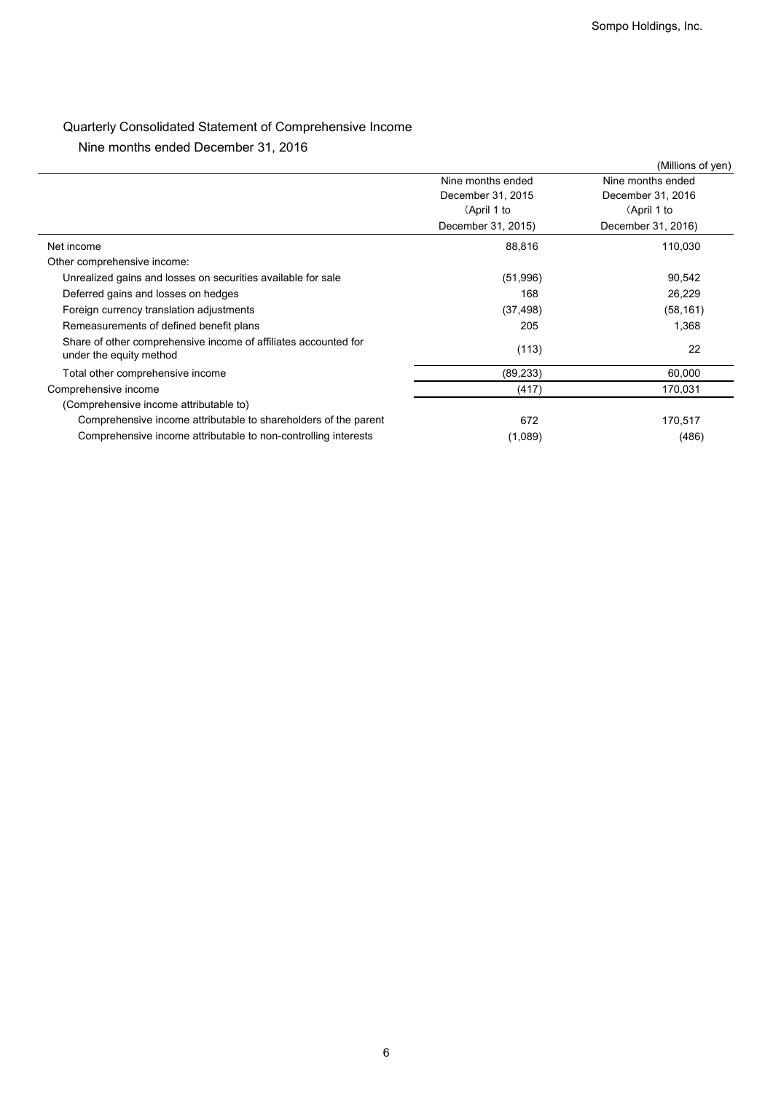# Quarterly Consolidated Statement of Comprehensive Income

|                                                                 |                                   | Sompo Holdings, Inc.              |
|-----------------------------------------------------------------|-----------------------------------|-----------------------------------|
|                                                                 |                                   |                                   |
|                                                                 |                                   |                                   |
|                                                                 |                                   |                                   |
|                                                                 |                                   |                                   |
| Quarterly Consolidated Statement of Comprehensive Income        |                                   |                                   |
| Nine months ended December 31, 2016                             |                                   |                                   |
|                                                                 |                                   | (Millions of yen)                 |
|                                                                 | Nine months ended                 | Nine months ended                 |
|                                                                 | December 31, 2015                 | December 31, 2016                 |
|                                                                 | (April 1 to<br>December 31, 2015) | (April 1 to<br>December 31, 2016) |
| Net income                                                      |                                   |                                   |
| Other comprehensive income:                                     | 88,816                            | 110,030                           |
| Unrealized gains and losses on securities available for sale    | (51, 996)                         | 90,542                            |
| Deferred gains and losses on hedges                             | 168                               | 26,229                            |
| Foreign currency translation adjustments                        | (37, 498)                         | (58, 161)                         |
| Remeasurements of defined benefit plans                         | 205                               | 1,368                             |
| Share of other comprehensive income of affiliates accounted for |                                   |                                   |
| under the equity method                                         | (113)                             | 22                                |
| Total other comprehensive income                                | (89, 233)                         | 60,000                            |
| Comprehensive income                                            | (417)                             | 170,031                           |
| (Comprehensive income attributable to)                          |                                   |                                   |
| Comprehensive income attributable to shareholders of the parent | 672                               | 170,517                           |
| Comprehensive income attributable to non-controlling interests  | (1,089)                           | (486)                             |
|                                                                 |                                   |                                   |
|                                                                 |                                   |                                   |
|                                                                 |                                   |                                   |
|                                                                 |                                   |                                   |
|                                                                 |                                   |                                   |
|                                                                 |                                   |                                   |
|                                                                 |                                   |                                   |
|                                                                 |                                   |                                   |
|                                                                 |                                   |                                   |
|                                                                 |                                   |                                   |
|                                                                 |                                   |                                   |
|                                                                 |                                   |                                   |
|                                                                 |                                   |                                   |
|                                                                 |                                   |                                   |
|                                                                 |                                   |                                   |
|                                                                 |                                   |                                   |
|                                                                 |                                   |                                   |
|                                                                 |                                   |                                   |
|                                                                 |                                   |                                   |
|                                                                 |                                   |                                   |
|                                                                 |                                   |                                   |
|                                                                 |                                   |                                   |
|                                                                 |                                   |                                   |
|                                                                 |                                   |                                   |
|                                                                 |                                   |                                   |
|                                                                 |                                   |                                   |
|                                                                 |                                   |                                   |
|                                                                 |                                   |                                   |
|                                                                 |                                   |                                   |
|                                                                 |                                   |                                   |
|                                                                 |                                   |                                   |
|                                                                 |                                   |                                   |
|                                                                 |                                   |                                   |
|                                                                 |                                   |                                   |
|                                                                 |                                   |                                   |
|                                                                 |                                   |                                   |
|                                                                 |                                   |                                   |
|                                                                 |                                   |                                   |
|                                                                 |                                   |                                   |
| 6                                                               |                                   |                                   |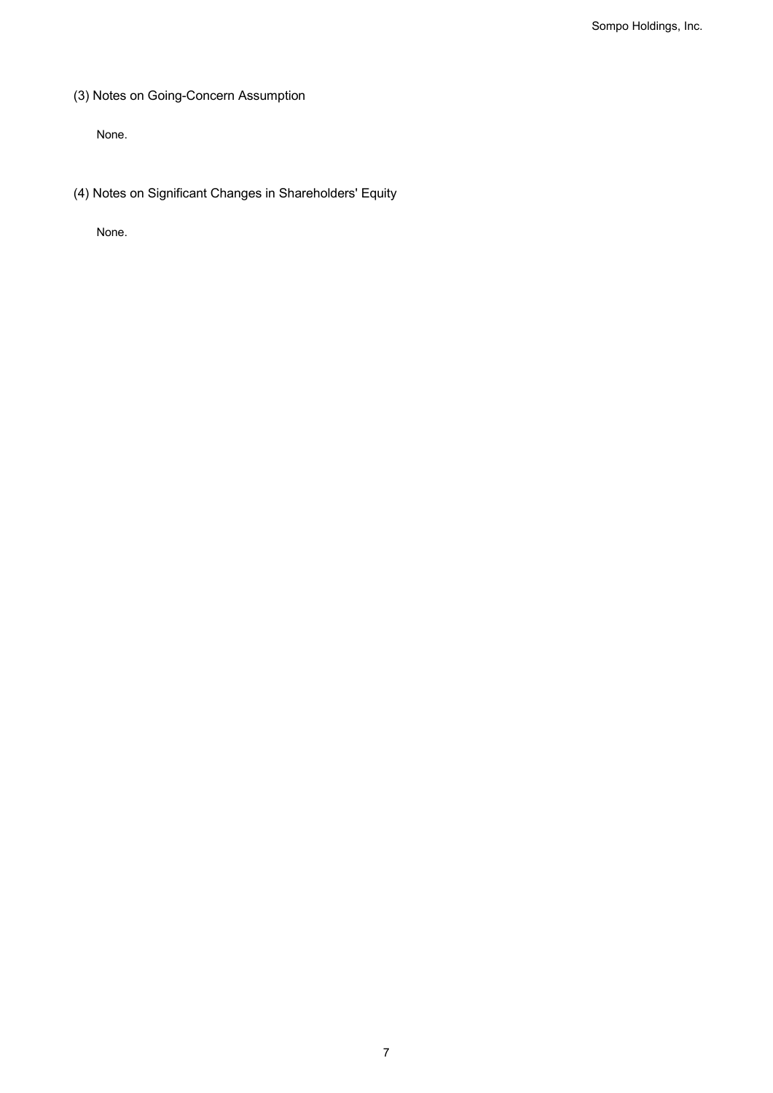(3) Notes on Going-Concern Assumption

None.

(4) Notes on Significant Changes in Shareholders' Equity

None.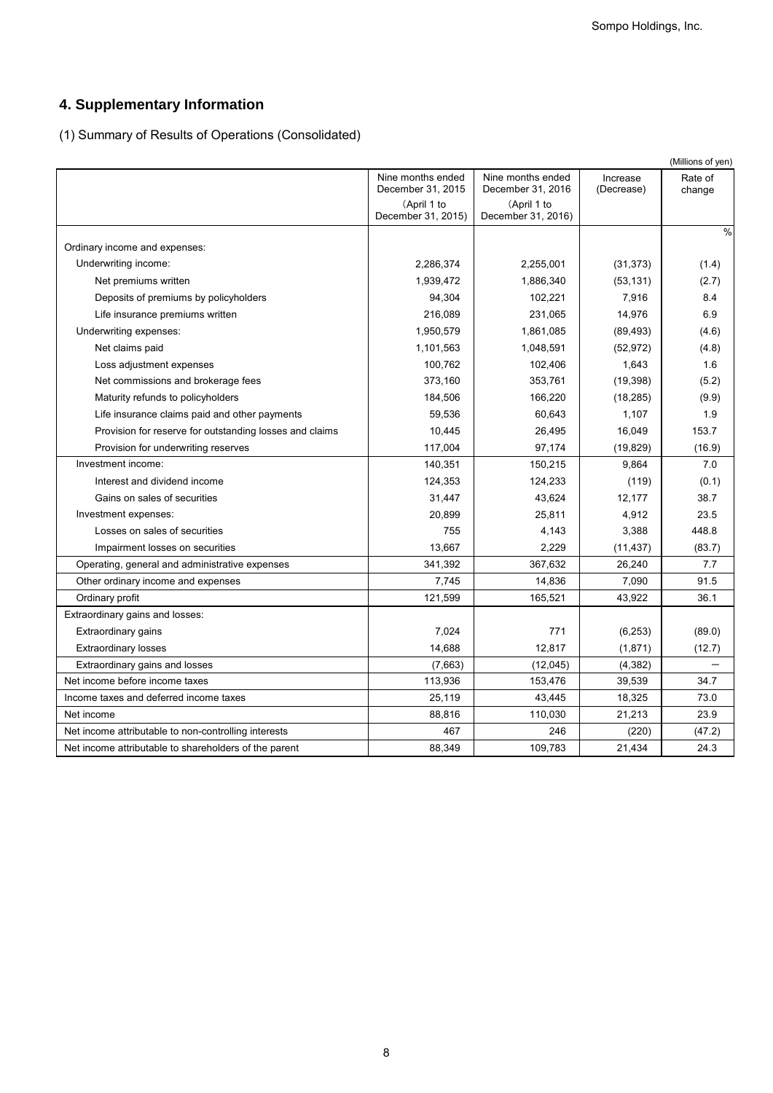# **4. Supplementary Information**

| 4. Supplementary Information                                 |                                   |                                   |                 |                              |  |  |
|--------------------------------------------------------------|-----------------------------------|-----------------------------------|-----------------|------------------------------|--|--|
| (1) Summary of Results of Operations (Consolidated)          |                                   |                                   |                 |                              |  |  |
|                                                              |                                   |                                   |                 |                              |  |  |
|                                                              | Nine months ended                 | Nine months ended                 | Increase        | (Millions of yen)<br>Rate of |  |  |
|                                                              | December 31, 2015                 | December 31, 2016                 | (Decrease)      | change                       |  |  |
|                                                              | (April 1 to<br>December 31, 2015) | (April 1 to<br>December 31, 2016) |                 |                              |  |  |
|                                                              |                                   |                                   |                 | $\%$                         |  |  |
| Ordinary income and expenses:                                |                                   |                                   |                 |                              |  |  |
| Underwriting income:                                         | 2,286,374                         | 2,255,001                         | (31, 373)       | (1.4)                        |  |  |
| Net premiums written                                         | 1,939,472                         | 1,886,340                         | (53, 131)       | (2.7)                        |  |  |
| Deposits of premiums by policyholders                        | 94,304                            | 102,221                           | 7,916           | 8.4                          |  |  |
| Life insurance premiums written                              | 216,089                           | 231,065                           | 14,976          | 6.9                          |  |  |
| Underwriting expenses:                                       | 1,950,579                         | 1,861,085                         | (89, 493)       | (4.6)                        |  |  |
| Net claims paid                                              | 1,101,563                         | 1,048,591                         | (52, 972)       | (4.8)                        |  |  |
| Loss adjustment expenses                                     | 100,762                           | 102,406                           | 1,643           | 1.6                          |  |  |
| Net commissions and brokerage fees                           | 373,160                           | 353,761                           | (19, 398)       | (5.2)                        |  |  |
| Maturity refunds to policyholders                            | 184,506                           | 166,220                           | (18, 285)       | (9.9)                        |  |  |
| Life insurance claims paid and other payments                | 59,536                            | 60,643                            | 1,107           | 1.9                          |  |  |
| Provision for reserve for outstanding losses and claims      | 10,445                            | 26,495                            | 16,049          | 153.7                        |  |  |
| Provision for underwriting reserves                          | 117,004                           | 97,174                            | (19, 829)       | (16.9)                       |  |  |
| Investment income:                                           | 140,351                           | 150,215                           | 9,864           | 7.0                          |  |  |
| Interest and dividend income<br>Gains on sales of securities | 124,353<br>31,447                 | 124,233<br>43,624                 | (119)<br>12,177 | (0.1)<br>38.7                |  |  |
| Investment expenses:                                         | 20,899                            | 25,811                            | 4,912           | 23.5                         |  |  |
| Losses on sales of securities                                | 755                               | 4,143                             | 3,388           | 448.8                        |  |  |
| Impairment losses on securities                              | 13,667                            | 2,229                             | (11, 437)       | (83.7)                       |  |  |
| Operating, general and administrative expenses               | 341,392                           | 367,632                           | 26,240          | 7.7                          |  |  |
| Other ordinary income and expenses                           | 7,745                             | 14,836                            | 7,090           | 91.5                         |  |  |
| Ordinary profit                                              | 121,599                           | 165,521                           | 43,922          | 36.1                         |  |  |
| Extraordinary gains and losses:                              |                                   |                                   |                 |                              |  |  |
| Extraordinary gains                                          | 7,024                             | 771                               | (6, 253)        | (89.0)                       |  |  |
| <b>Extraordinary losses</b>                                  | 14,688                            | 12,817                            | (1,871)         | (12.7)                       |  |  |
| Extraordinary gains and losses                               | (7,663)                           | (12,045)                          | (4, 382)        |                              |  |  |
| Net income before income taxes                               | 113,936                           | 153,476                           | 39,539          | 34.7                         |  |  |
| Income taxes and deferred income taxes                       | 25,119                            | 43,445                            | 18,325          | 73.0                         |  |  |
| Net income                                                   | 88,816                            | 110,030                           | 21,213          | 23.9                         |  |  |
| Net income attributable to non-controlling interests         | 467                               | 246                               | (220)           | (47.2)                       |  |  |
| Net income attributable to shareholders of the parent        | 88,349                            | 109,783                           | 21,434          | 24.3                         |  |  |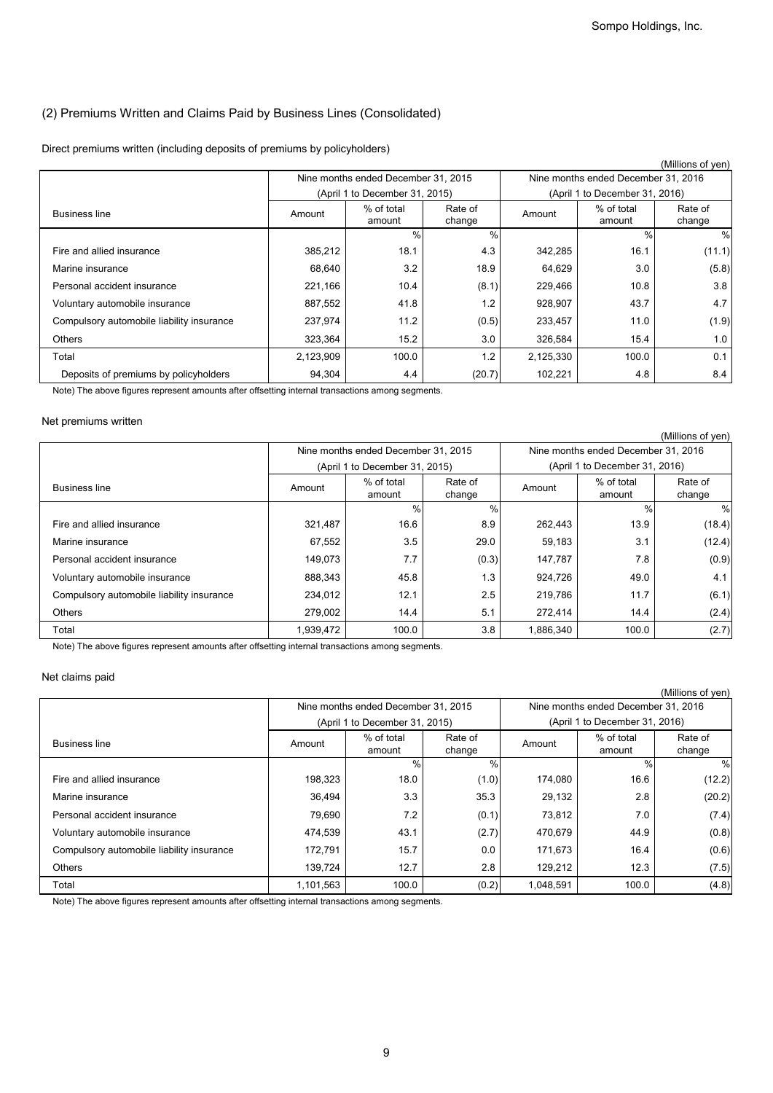## (2) Premiums Written and Claims Paid by Business Lines (Consolidated)

### Direct premiums written (including deposits of premiums by policyholders)

|                                                                                                                          |                    |                                                                       |                      |                      |                                                                       | (Millions of yen)                                      |
|--------------------------------------------------------------------------------------------------------------------------|--------------------|-----------------------------------------------------------------------|----------------------|----------------------|-----------------------------------------------------------------------|--------------------------------------------------------|
|                                                                                                                          |                    | Nine months ended December 31, 2015                                   |                      |                      | Nine months ended December 31, 2016                                   |                                                        |
|                                                                                                                          |                    | (April 1 to December 31, 2015)                                        |                      |                      | (April 1 to December 31, 2016)                                        |                                                        |
| <b>Business line</b>                                                                                                     | Amount             | % of total<br>amount                                                  | Rate of<br>change    | Amount               | % of total<br>amount                                                  | Rate of<br>change                                      |
| Fire and allied insurance                                                                                                | 385,212            | $\%$<br>18.1                                                          | $\frac{0}{0}$<br>4.3 | 342,285              | $\frac{0}{0}$<br>16.1                                                 | $\%$<br>(11.1)                                         |
| Marine insurance                                                                                                         | 68,640             | 3.2                                                                   | 18.9                 | 64,629               | 3.0                                                                   | (5.8)                                                  |
| Personal accident insurance                                                                                              | 221,166            | 10.4                                                                  | (8.1)                | 229,466              | 10.8                                                                  | 3.8                                                    |
| Voluntary automobile insurance                                                                                           | 887,552            | 41.8                                                                  | 1.2                  | 928,907              | 43.7                                                                  | 4.7                                                    |
| Compulsory automobile liability insurance                                                                                | 237,974            | 11.2                                                                  | (0.5)                | 233,457              | 11.0                                                                  | (1.9)                                                  |
| Others                                                                                                                   | 323,364            | 15.2                                                                  | 3.0                  | 326,584              | 15.4                                                                  | 1.0                                                    |
| Total                                                                                                                    | 2,123,909          | 100.0                                                                 | 1.2                  | 2,125,330            | 100.0                                                                 | 0.1                                                    |
| Deposits of premiums by policyholders                                                                                    | 94,304             | 4.4                                                                   | (20.7)               | 102,221              | 4.8                                                                   | 8.4                                                    |
| Note) The above figures represent amounts after offsetting internal transactions among segments.<br>Net premiums written |                    |                                                                       |                      |                      |                                                                       |                                                        |
|                                                                                                                          |                    |                                                                       |                      |                      |                                                                       | (Millions of yen)                                      |
|                                                                                                                          |                    | Nine months ended December 31, 2015<br>(April 1 to December 31, 2015) |                      |                      | Nine months ended December 31, 2016<br>(April 1 to December 31, 2016) |                                                        |
| <b>Business line</b>                                                                                                     | Amount             | % of total<br>amount                                                  | Rate of<br>change    | Amount               | % of total<br>amount                                                  | Rate of<br>change                                      |
|                                                                                                                          |                    | $\%$                                                                  | $\frac{0}{0}$        |                      | $\frac{0}{0}$                                                         | $\%$                                                   |
| Fire and allied insurance                                                                                                | 321,487            | 16.6                                                                  | 8.9                  | 262,443              | 13.9                                                                  | (18.4)                                                 |
| Marine insurance                                                                                                         | 67,552             | 3.5                                                                   | 29.0                 | 59,183               | 3.1                                                                   | (12.4)                                                 |
| Personal accident insurance                                                                                              | 149,073            | 7.7                                                                   | (0.3)                | 147,787              | 7.8                                                                   | (0.9)                                                  |
| Voluntary automobile insurance                                                                                           | 888,343            | 45.8                                                                  | 1.3                  | 924,726              | 49.0                                                                  | 4.1                                                    |
|                                                                                                                          |                    |                                                                       |                      |                      |                                                                       | (6.1)                                                  |
| Compulsory automobile liability insurance                                                                                | 234,012            | 12.1                                                                  | 2.5                  | 219,786              | 11.7                                                                  |                                                        |
| Others                                                                                                                   | 279,002            | 14.4                                                                  | 5.1                  | 272,414              | 14.4                                                                  | (2.4)                                                  |
| Total                                                                                                                    | 1,939,472          | 100.0                                                                 | 3.8                  | 1,886,340            | 100.0                                                                 |                                                        |
| Note) The above figures represent amounts after offsetting internal transactions among segments.<br>Net claims paid      |                    |                                                                       |                      |                      |                                                                       |                                                        |
|                                                                                                                          |                    | Nine months ended December 31, 2015                                   |                      |                      | Nine months ended December 31, 2016                                   |                                                        |
|                                                                                                                          |                    | (April 1 to December 31, 2015)                                        |                      |                      | (April 1 to December 31, 2016)                                        |                                                        |
| <b>Business line</b>                                                                                                     | Amount             | % of total<br>amount                                                  | Rate of<br>change    | Amount               | % of total<br>amount                                                  | Rate of<br>change                                      |
| Fire and allied insurance                                                                                                | 198,323            | $\%$<br>18.0                                                          | $\%$<br>(1.0)        | 174,080              | $\frac{0}{0}$<br>16.6                                                 |                                                        |
| Marine insurance                                                                                                         | 36,494             | 3.3                                                                   | 35.3                 | 29,132               | 2.8                                                                   | (2.7)<br>(Millions of yen)<br>$\%$<br>(12.2)<br>(20.2) |
| Personal accident insurance                                                                                              | 79,690             | 7.2                                                                   |                      | 73,812               | 7.0                                                                   |                                                        |
|                                                                                                                          |                    | 43.1                                                                  | (0.1)                |                      | 44.9                                                                  | (7.4)                                                  |
| Voluntary automobile insurance                                                                                           | 474,539<br>172,791 | 15.7                                                                  | (2.7)<br>0.0         | 470,679              | 16.4                                                                  | (0.8)                                                  |
| Compulsory automobile liability insurance<br>Others                                                                      | 139,724            | 12.7                                                                  | 2.8                  | 171,673              | 12.3                                                                  | (0.6)                                                  |
| Total                                                                                                                    | 1,101,563          | 100.0                                                                 | (0.2)                | 129,212<br>1,048,591 | 100.0                                                                 | (7.5)<br>(4.8)                                         |

## Net premiums written

|                                           |                                |                                     |                   |                                     |                                | (Millions of yen) |
|-------------------------------------------|--------------------------------|-------------------------------------|-------------------|-------------------------------------|--------------------------------|-------------------|
|                                           |                                | Nine months ended December 31, 2015 |                   | Nine months ended December 31, 2016 |                                |                   |
|                                           | (April 1 to December 31, 2015) |                                     |                   |                                     | (April 1 to December 31, 2016) |                   |
| <b>Business line</b>                      | Amount                         | % of total<br>amount                | Rate of<br>change | Amount                              | % of total<br>amount           | Rate of<br>change |
|                                           |                                | %                                   | $\%$              |                                     | $\%$                           | %                 |
| Fire and allied insurance                 | 321,487                        | 16.6                                | 8.9               | 262,443                             | 13.9                           | (18.4)            |
| Marine insurance                          | 67,552                         | 3.5                                 | 29.0              | 59,183                              | 3.1                            | (12.4)            |
| Personal accident insurance               | 149,073                        | 7.7                                 | (0.3)             | 147,787                             | 7.8                            | (0.9)             |
| Voluntary automobile insurance            | 888,343                        | 45.8                                | 1.3               | 924,726                             | 49.0                           | 4.1               |
| Compulsory automobile liability insurance | 234,012                        | 12.1                                | 2.5               | 219,786                             | 11.7                           | (6.1)             |
| <b>Others</b>                             | 279,002                        | 14.4                                | 5.1               | 272.414                             | 14.4                           | (2.4)             |
| Total                                     | 1,939,472                      | 100.0                               | 3.8               | 1,886,340                           | 100.0                          | (2.7)             |

## Net claims paid

|                                           |                                |                                     |                   |                                     |                      | (Millions of yen) |  |
|-------------------------------------------|--------------------------------|-------------------------------------|-------------------|-------------------------------------|----------------------|-------------------|--|
|                                           |                                | Nine months ended December 31, 2015 |                   | Nine months ended December 31, 2016 |                      |                   |  |
|                                           | (April 1 to December 31, 2015) |                                     |                   | (April 1 to December 31, 2016)      |                      |                   |  |
| <b>Business line</b>                      | Amount                         | % of total<br>amount                | Rate of<br>change | Amount                              | % of total<br>amount | Rate of<br>change |  |
|                                           |                                | $\frac{0}{0}$                       | %                 |                                     | $\%$                 | %                 |  |
| Fire and allied insurance                 | 198,323                        | 18.0                                | (1.0)             | 174,080                             | 16.6                 | (12.2)            |  |
| Marine insurance                          | 36,494                         | 3.3                                 | 35.3              | 29,132                              | 2.8                  | (20.2)            |  |
| Personal accident insurance               | 79,690                         | 7.2                                 | (0.1)             | 73,812                              | 7.0                  | (7.4)             |  |
| Voluntary automobile insurance            | 474,539                        | 43.1                                | (2.7)             | 470,679                             | 44.9                 | (0.8)             |  |
| Compulsory automobile liability insurance | 172,791                        | 15.7                                | 0.0               | 171,673                             | 16.4                 | (0.6)             |  |
| <b>Others</b>                             | 139,724                        | 12.7                                | 2.8               | 129,212                             | 12.3                 | (7.5)             |  |
| Total                                     | 1,101,563                      | 100.0                               | (0.2)             | 1,048,591                           | 100.0                | (4.8)             |  |